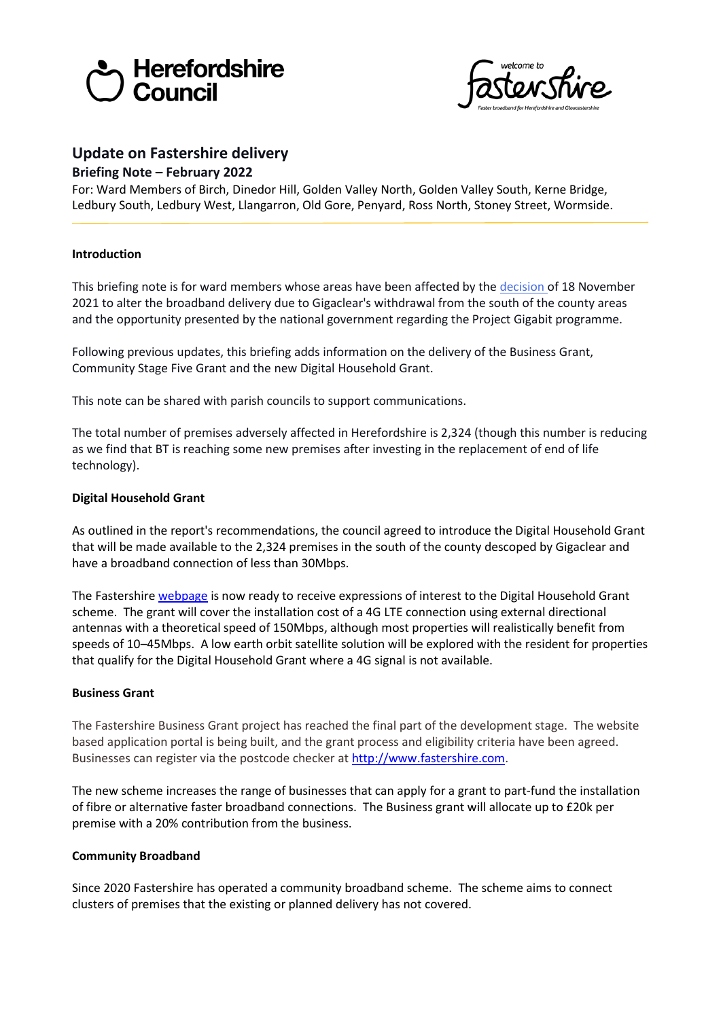



# **Update on Fastershire delivery**

## **Briefing Note – February 2022**

For: Ward Members of Birch, Dinedor Hill, Golden Valley North, Golden Valley South, Kerne Bridge, Ledbury South, Ledbury West, Llangarron, Old Gore, Penyard, Ross North, Stoney Street, Wormside.

## **Introduction**

This briefing note is for ward members whose areas have been affected by the [decision](http://councillors.herefordshire.gov.uk/mgIssueHistoryHome.aspx?IId=50039145) of 18 November 2021 to alter the broadband delivery due to Gigaclear's withdrawal from the south of the county areas and the opportunity presented by the national government regarding the Project Gigabit programme.

Following previous updates, this briefing adds information on the delivery of the Business Grant, Community Stage Five Grant and the new Digital Household Grant.

This note can be shared with parish councils to support communications.

The total number of premises adversely affected in Herefordshire is 2,324 (though this number is reducing as we find that BT is reaching some new premises after investing in the replacement of end of life technology).

## **Digital Household Grant**

As outlined in the report's recommendations, the council agreed to introduce the Digital Household Grant that will be made available to the 2,324 premises in the south of the county descoped by Gigaclear and have a broadband connection of less than 30Mbps.

The Fastershir[e webpage](https://www.fastershire.com/digital-household-grant) is now ready to receive expressions of interest to the Digital Household Grant scheme. The grant will cover the installation cost of a 4G LTE connection using external directional antennas with a theoretical speed of 150Mbps, although most properties will realistically benefit from speeds of 10–45Mbps. A low earth orbit satellite solution will be explored with the resident for properties that qualify for the Digital Household Grant where a 4G signal is not available.

#### **Business Grant**

The Fastershire Business Grant project has reached the final part of the development stage. The website based application portal is being built, and the grant process and eligibility criteria have been agreed. Businesses can register via the postcode checker a[t http://www.fastershire.com.](http://www.fastershire.com/)

The new scheme increases the range of businesses that can apply for a grant to part-fund the installation of fibre or alternative faster broadband connections. The Business grant will allocate up to £20k per premise with a 20% contribution from the business.

# **Community Broadband**

Since 2020 Fastershire has operated a community broadband scheme. The scheme aims to connect clusters of premises that the existing or planned delivery has not covered.